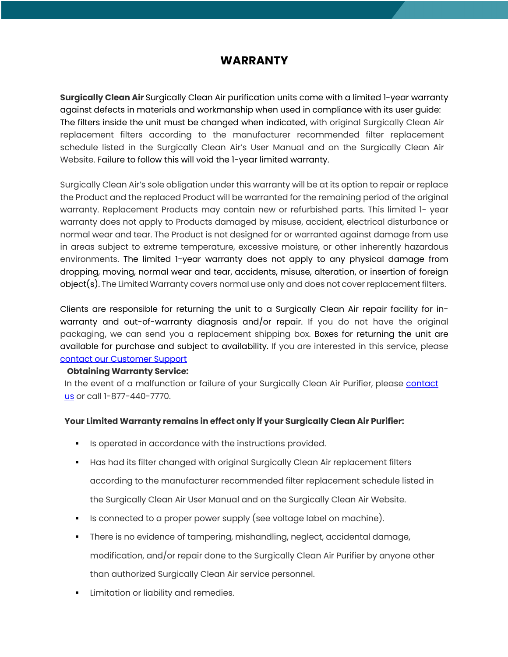# **WARRANTY**

**Surgically Clean Air** Surgically Clean Air purification units come with a limited 1-year warranty against defects in materials and workmanship when used in compliance with its user guide: The filters inside the unit must be changed when indicated, with original Surgically Clean Air replacement filters according to the manufacturer recommended filter replacement schedule listed in the Surgically Clean Air's User Manual and on the Surgically Clean Air Website. Failure to follow this will void the 1-year limited warranty.

Surgically Clean Air's sole obligation under this warranty will be at its option to repair or replace the Product and the replaced Product will be warranted for the remaining period of the original warranty. Replacement Products may contain new or refurbished parts. This limited 1- year warranty does not apply to Products damaged by misuse, accident, electrical disturbance or normal wear and tear. The Product is not designed for or warranted against damage from use in areas subject to extreme temperature, excessive moisture, or other inherently hazardous environments. The limited 1-year warranty does not apply to any physical damage from dropping, moving, normal wear and tear, accidents, misuse, alteration, or insertion of foreign object(s). The Limited Warranty covers normal use only and does not cover replacement filters.

Clients are responsible for returning the unit to a Surgically Clean Air repair facility for inwarranty and out-of-warranty diagnosis and/or repair. If you do not have the original packaging, we can send you a replacement shipping box. Boxes for returning the unit are available for purchase and subject to availability. If you are interested in this service, please contact our Customer Support

### **Obtaining Warranty Service:**

In the event of a malfunction or failure of your Surgically Clean Air Purifier, please contact us or call 1-877-440-7770.

### **Your Limited Warranty remains in effect only if your Surgically Clean Air Purifier:**

- Is operated in accordance with the instructions provided.
- **■** Has had its filter changed with original Surgically Clean Air replacement filters according to the manufacturer recommended filter replacement schedule listed in the Surgically Clean Air User Manual and on the Surgically Clean Air Website.
- Is connected to a proper power supply (see voltage label on machine).
- § There is no evidence of tampering, mishandling, neglect, accidental damage, modification, and/or repair done to the Surgically Clean Air Purifier by anyone other than authorized Surgically Clean Air service personnel.
- **EXECUTE:** Limitation or liability and remedies.